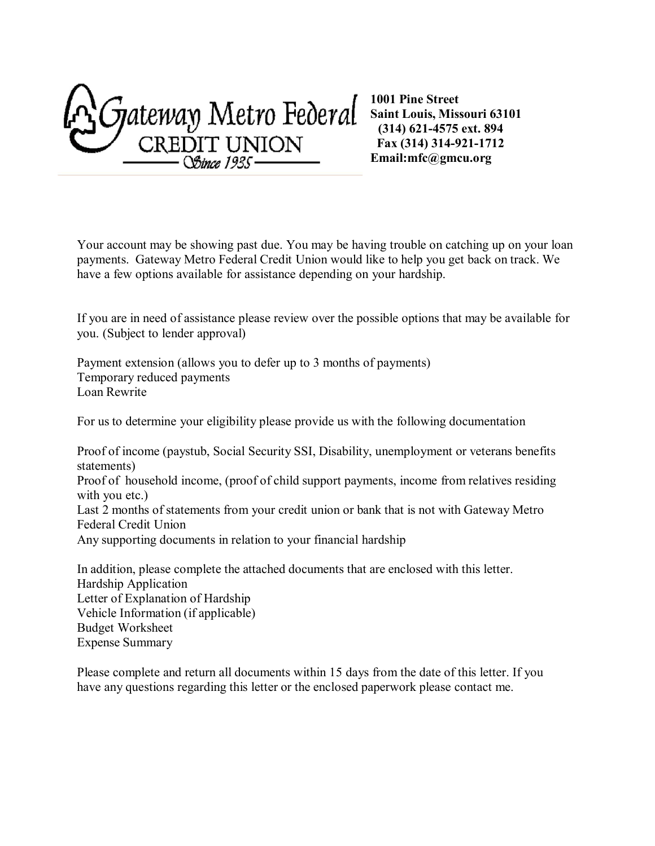Sjateway Metro Federal **CREDIT UNION**<br> *Stince 1935* 

 payments. Gateway Metro Federal Credit Union would like to help you get back on track. We have a few options available for assistance depending on your hardship. Your account may be showing past due. You may be having trouble on catching up on your loan

 If you are in need of assistance please review over the possible options that may be available for you. (Subject to lender approval)

 Temporary reduced payments Loan Rewrite Payment extension (allows you to defer up to 3 months of payments)

For us to determine your eligibility please provide us with the following documentation

 Proof of income (paystub, Social Security SSI, Disability, unemployment or veterans benefits Proof of household income, (proof of child support payments, income from relatives residing with you etc.) Last 2 months of statements from your credit union or bank that is not with Gateway Metro Federal Credit Union Any supporting documents in relation to your financial hardship statements)

 In addition, please complete the attached documents that are enclosed with this letter. Vehicle Information (if applicable) Budget Worksheet Expense Summary Hardship Application Letter of Explanation of Hardship

 Please complete and return all documents within 15 days from the date of this letter. If you have any questions regarding this letter or the enclosed paperwork please contact me.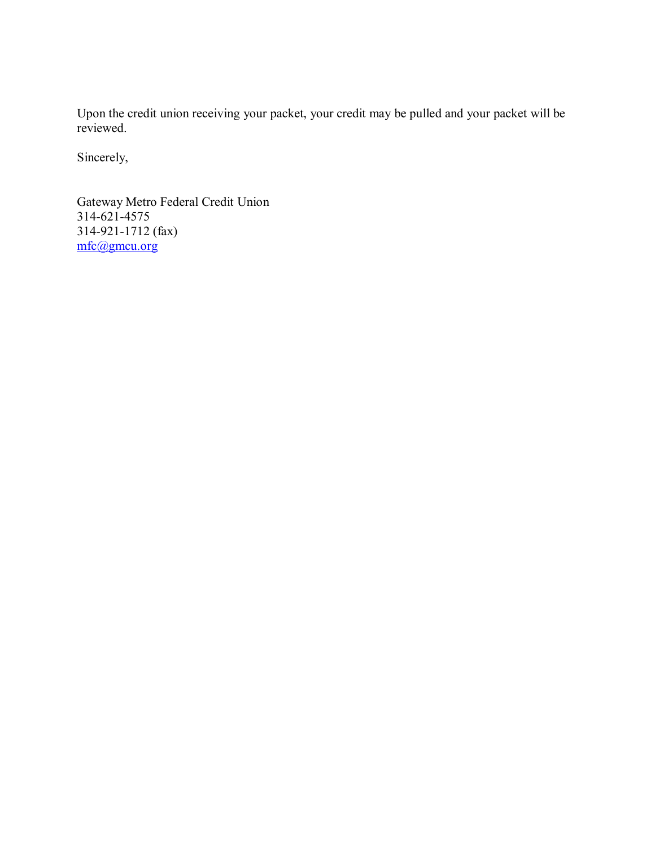Upon the credit union receiving your packet, your credit may be pulled and your packet will be reviewed.

Sincerely,

Sincerely,<br>Gateway Metro Federal Credit Union 314-621-4575 314-921-1712 (fax) mfc@gmcu.org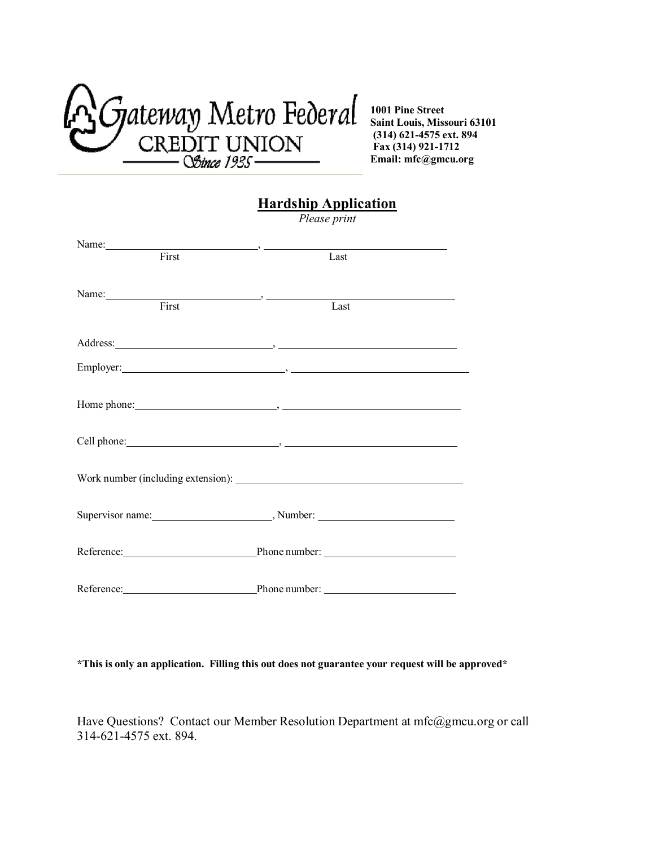

## **Hardship Application**

*Please print* 

| Name:                          | $\overline{\phantom{a}}$ , and the contract of $\overline{\phantom{a}}$ |  |
|--------------------------------|-------------------------------------------------------------------------|--|
| First                          | Last                                                                    |  |
|                                |                                                                         |  |
| Name: $\frac{1}{\text{First}}$ |                                                                         |  |
|                                | Last                                                                    |  |
|                                |                                                                         |  |
|                                |                                                                         |  |
|                                |                                                                         |  |
|                                |                                                                         |  |
|                                |                                                                         |  |
|                                |                                                                         |  |
|                                |                                                                         |  |
|                                |                                                                         |  |
|                                |                                                                         |  |
|                                |                                                                         |  |
|                                | Supervisor name: Number: Number:                                        |  |
|                                |                                                                         |  |
|                                |                                                                         |  |
|                                |                                                                         |  |
| Reference:                     | Phone number:                                                           |  |

 **\*This is only an application. Filling this out does not guarantee your request will be approved\*** 

 Have Questions? Contact our Member Resolution Department at [mfc@gmcu.org o](mailto:mfc@gmcu.org)r call 314-621-4575 ext. 894.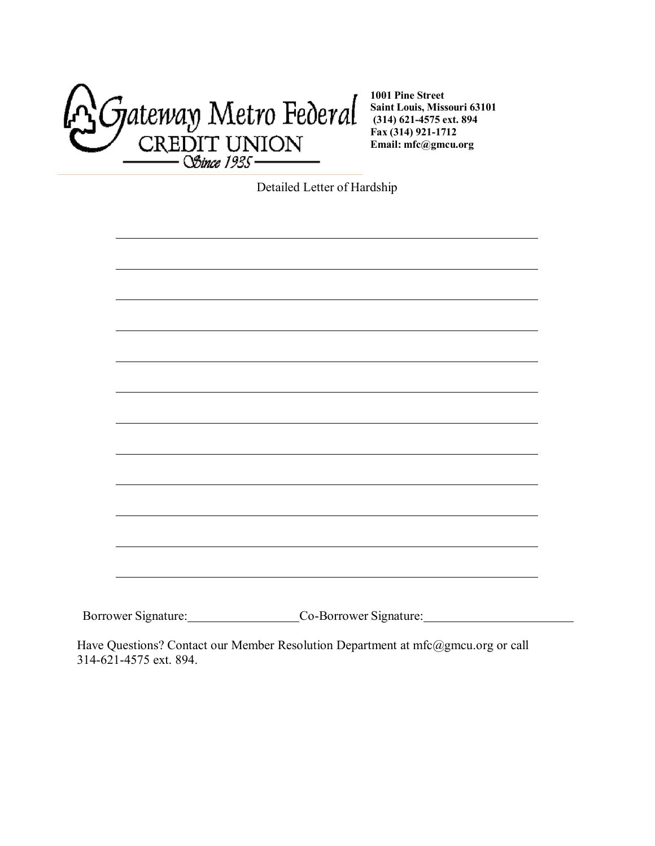

Detailed Letter of Hardship

| Borrower Signature: | Co-Borrower Signature: |
|---------------------|------------------------|
|                     |                        |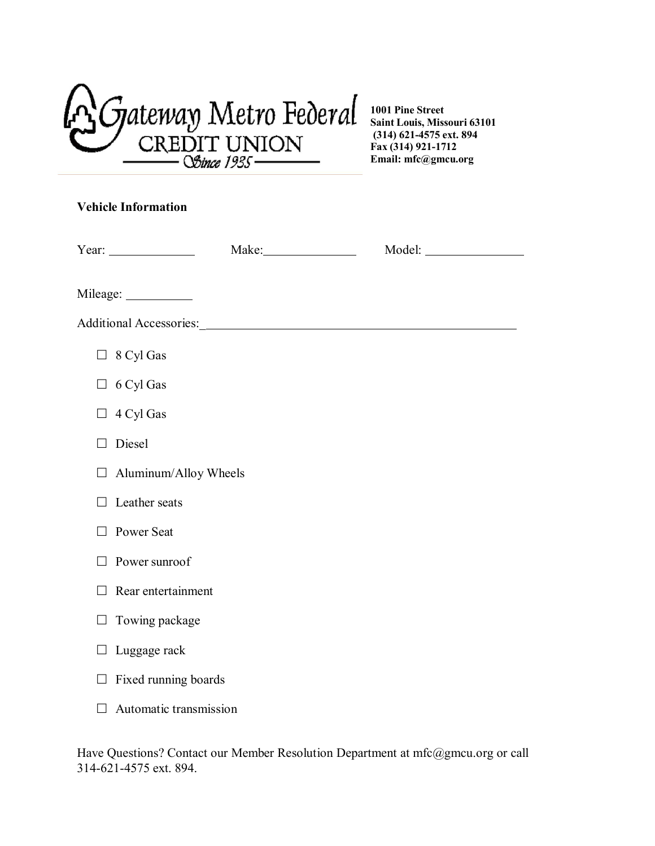Metro *FeOeral*  **CREDIT UNION**  *--05bra* J!J3S--

## **Vehicle Information**

| Year: $\frac{1}{\sqrt{1-\frac{1}{2}} \cdot \frac{1}{2}}$ |  |  |
|----------------------------------------------------------|--|--|
|                                                          |  |  |
|                                                          |  |  |
| $\Box$ 8 Cyl Gas                                         |  |  |
| 6 Cyl Gas<br>$\Box$                                      |  |  |
| 4 Cyl Gas                                                |  |  |
| Diesel                                                   |  |  |
| Aluminum/Alloy Wheels<br>$\Box$                          |  |  |
| Leather seats                                            |  |  |
| Power Seat                                               |  |  |
| Power sunroof                                            |  |  |
| Rear entertainment                                       |  |  |
| Towing package                                           |  |  |
| Luggage rack                                             |  |  |
| Fixed running boards                                     |  |  |
| Automatic transmission                                   |  |  |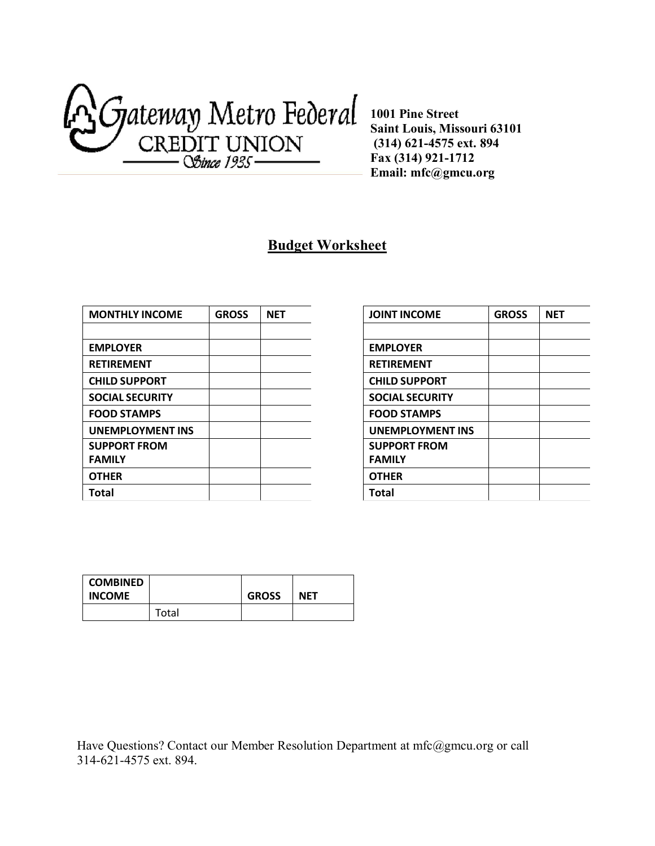

## **Budget Worksheet**

| <b>MONTHLY INCOME</b>   | <b>GROSS</b> | <b>NET</b> |
|-------------------------|--------------|------------|
|                         |              |            |
| <b>EMPLOYER</b>         |              |            |
| <b>RETIREMENT</b>       |              |            |
| <b>CHILD SUPPORT</b>    |              |            |
| <b>SOCIAL SECURITY</b>  |              |            |
| <b>FOOD STAMPS</b>      |              |            |
| <b>UNEMPLOYMENT INS</b> |              |            |
| <b>SUPPORT FROM</b>     |              |            |
| <b>FAMILY</b>           |              |            |
| <b>OTHER</b>            |              |            |
| <b>Total</b>            |              |            |

| <b>JOINT INCOME</b>     | <b>GROSS</b> | NET |
|-------------------------|--------------|-----|
|                         |              |     |
| <b>EMPLOYER</b>         |              |     |
| <b>RETIREMENT</b>       |              |     |
| <b>CHILD SUPPORT</b>    |              |     |
| <b>SOCIAL SECURITY</b>  |              |     |
| <b>FOOD STAMPS</b>      |              |     |
| <b>UNEMPLOYMENT INS</b> |              |     |
| <b>SUPPORT FROM</b>     |              |     |
| <b>FAMILY</b>           |              |     |
| <b>OTHER</b>            |              |     |
| Total                   |              |     |

| COMBINED<br><b>INCOME</b> |       | <b>GROSS</b> | <b>NET</b> |
|---------------------------|-------|--------------|------------|
|                           | Total |              |            |